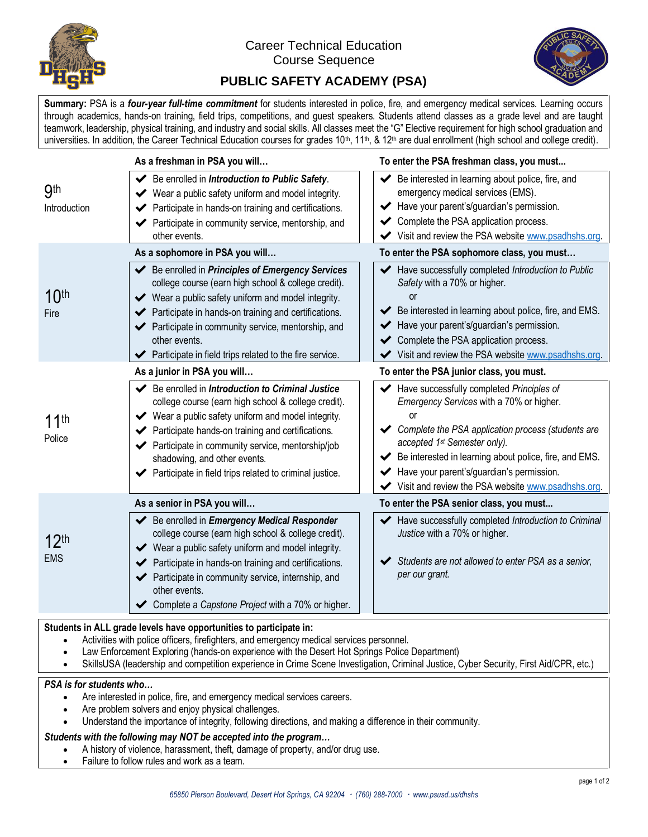

## Career Technical Education Course Sequence



## **PUBLIC SAFETY ACADEMY (PSA)**

**Summary:** PSA is a *four-year full-time commitment* for students interested in police, fire, and emergency medical services. Learning occurs through academics, hands-on training, field trips, competitions, and guest speakers. Students attend classes as a grade level and are taught teamwork, leadership, physical training, and industry and social skills. All classes meet the "G" Elective requirement for high school graduation and universities. In addition, the Career Technical Education courses for grades  $10^{\text{th}}$ ,  $11^{\text{th}}$ , &  $12^{\text{th}}$  are dual enrollment (high school and college credit).

|                                | As a freshman in PSA you will                                                                                                                                                                                                                                                                                                                                                           | To enter the PSA freshman class, you must                                                                                                                                                                                                                                                                                                      |  |  |
|--------------------------------|-----------------------------------------------------------------------------------------------------------------------------------------------------------------------------------------------------------------------------------------------------------------------------------------------------------------------------------------------------------------------------------------|------------------------------------------------------------------------------------------------------------------------------------------------------------------------------------------------------------------------------------------------------------------------------------------------------------------------------------------------|--|--|
| <b>9th</b><br>Introduction     | Be enrolled in Introduction to Public Safety.<br>Wear a public safety uniform and model integrity.<br>Participate in hands-on training and certifications.<br>Participate in community service, mentorship, and<br>other events.                                                                                                                                                        | Be interested in learning about police, fire, and<br>emergency medical services (EMS).<br>Have your parent's/guardian's permission.<br>← Complete the PSA application process.<br>Visit and review the PSA website www.psadhshs.org.                                                                                                           |  |  |
|                                | As a sophomore in PSA you will                                                                                                                                                                                                                                                                                                                                                          | To enter the PSA sophomore class, you must                                                                                                                                                                                                                                                                                                     |  |  |
| 10 <sup>th</sup><br>Fire       | Be enrolled in Principles of Emergency Services<br>college course (earn high school & college credit).<br>Wear a public safety uniform and model integrity.<br>$\checkmark$<br>← Participate in hands-on training and certifications.<br>← Participate in community service, mentorship, and<br>other events.<br>Participate in field trips related to the fire service.                | Have successfully completed Introduction to Public<br>Safety with a 70% or higher.<br>or<br>Be interested in learning about police, fire, and EMS.<br>✔<br>Have your parent's/guardian's permission.<br>← Complete the PSA application process.<br>Visit and review the PSA website www.psadhshs.org.                                          |  |  |
|                                | As a junior in PSA you will                                                                                                                                                                                                                                                                                                                                                             | To enter the PSA junior class, you must.                                                                                                                                                                                                                                                                                                       |  |  |
| 11 <sup>th</sup><br>Police     | $\blacktriangleright$ Be enrolled in Introduction to Criminal Justice<br>college course (earn high school & college credit).<br>Wear a public safety uniform and model integrity.<br>Participate hands-on training and certifications.<br>← Participate in community service, mentorship/job<br>shadowing, and other events.<br>Participate in field trips related to criminal justice. | Have successfully completed Principles of<br>Emergency Services with a 70% or higher.<br>or<br>Complete the PSA application process (students are<br>accepted 1st Semester only).<br>Be interested in learning about police, fire, and EMS.<br>Have your parent's/guardian's permission.<br>Visit and review the PSA website www.psadhshs.org. |  |  |
|                                | As a senior in PSA you will                                                                                                                                                                                                                                                                                                                                                             | To enter the PSA senior class, you must                                                                                                                                                                                                                                                                                                        |  |  |
| 12 <sup>th</sup><br><b>EMS</b> | ← Be enrolled in Emergency Medical Responder<br>college course (earn high school & college credit).<br>Wear a public safety uniform and model integrity.<br>Participate in hands-on training and certifications.<br>← Participate in community service, internship, and<br>other events.<br>◆ Complete a Capstone Project with a 70% or higher.                                         | Have successfully completed Introduction to Criminal<br>Justice with a 70% or higher.<br>Students are not allowed to enter PSA as a senior,<br>per our grant.                                                                                                                                                                                  |  |  |

#### **Students in ALL grade levels have opportunities to participate in:**

- Activities with police officers, firefighters, and emergency medical services personnel.
- Law Enforcement Exploring (hands-on experience with the Desert Hot Springs Police Department)
- SkillsUSA (leadership and competition experience in Crime Scene Investigation, Criminal Justice, Cyber Security, First Aid/CPR, etc.)

#### *PSA is for students who…*

- Are interested in police, fire, and emergency medical services careers.
- Are problem solvers and enjoy physical challenges.
- Understand the importance of integrity, following directions, and making a difference in their community.

#### *Students with the following may NOT be accepted into the program…*

- A history of violence, harassment, theft, damage of property, and/or drug use.
- Failure to follow rules and work as a team.